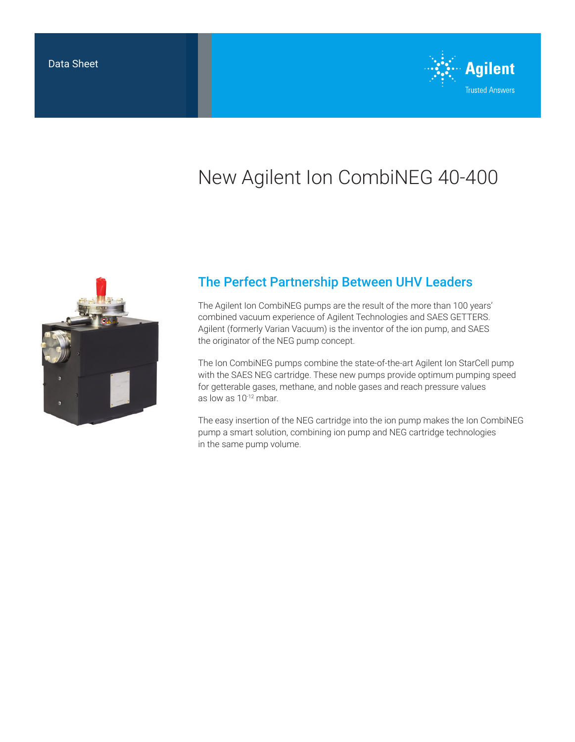

# New Agilent Ion CombiNEG 40-400



## The Perfect Partnership Between UHV Leaders

The Agilent Ion CombiNEG pumps are the result of the more than 100 years' combined vacuum experience of Agilent Technologies and SAES GETTERS. Agilent (formerly Varian Vacuum) is the inventor of the ion pump, and SAES the originator of the NEG pump concept.

The Ion CombiNEG pumps combine the state-of-the-art Agilent Ion StarCell pump with the SAES NEG cartridge. These new pumps provide optimum pumping speed for getterable gases, methane, and noble gases and reach pressure values as low as 10-12 mbar.

The easy insertion of the NEG cartridge into the ion pump makes the Ion CombiNEG pump a smart solution, combining ion pump and NEG cartridge technologies in the same pump volume.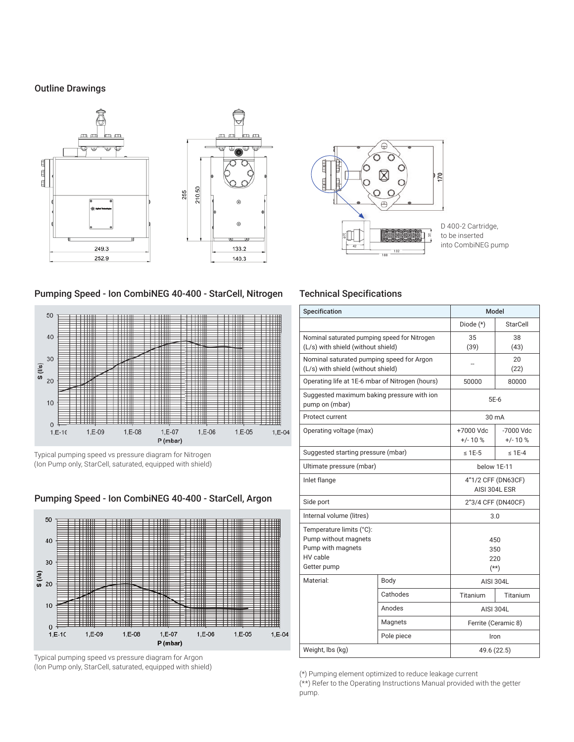#### Outline Drawings





D 400-2 Cartridge, to be inserted into CombiNEG pump

#### Pumping Speed - Ion CombiNEG 40-400 - StarCell, Nitrogen



Typical pumping speed vs pressure diagram for Nitrogen (Ion Pump only, StarCell, saturated, equipped with shield)



Pumping Speed - Ion CombiNEG 40-400 - StarCell, Argon

Typical pumping speed vs pressure diagram for Argon (Ion Pump only, StarCell, saturated, equipped with shield) (\*) Pumping element optimized to reduce leakage current

### Technical Specifications

| Specification                                                                                    |                                    | Model                               |                          |
|--------------------------------------------------------------------------------------------------|------------------------------------|-------------------------------------|--------------------------|
|                                                                                                  |                                    | Diode (*)                           | StarCell                 |
| Nominal saturated pumping speed for Nitrogen<br>(L/s) with shield (without shield)               |                                    | 35<br>(39)                          | 38<br>(43)               |
| Nominal saturated pumping speed for Argon<br>(L/s) with shield (without shield)                  |                                    |                                     | 20<br>(22)               |
| Operating life at 1E-6 mbar of Nitrogen (hours)                                                  |                                    | 50000                               | 80000                    |
| Suggested maximum baking pressure with ion<br>pump on (mbar)                                     |                                    | 5E-6                                |                          |
| Protect current                                                                                  | 30 mA                              |                                     |                          |
| Operating voltage (max)                                                                          |                                    | +7000 Vdc<br>$+/-10%$               | $-7000$ Vdc<br>$+/- 10%$ |
|                                                                                                  | Suggested starting pressure (mbar) |                                     | $\leq$ 1E-4              |
| Ultimate pressure (mbar)                                                                         |                                    | below 1E-11                         |                          |
| Inlet flange                                                                                     |                                    | 4"1/2 CFF (DN63CF)<br>AISI 304L ESR |                          |
| Side port                                                                                        |                                    | 2"3/4 CFF (DN40CF)                  |                          |
| Internal volume (litres)                                                                         |                                    | 3.0                                 |                          |
| Temperature limits (°C):<br>Pump without magnets<br>Pump with magnets<br>HV cable<br>Getter pump |                                    | 450<br>350<br>220<br>$(**)$         |                          |
| Material:                                                                                        | Body                               | AISI 304L                           |                          |
|                                                                                                  | Cathodes                           | Titanium                            | Titanium                 |
|                                                                                                  | Anodes                             | <b>AISI 304L</b>                    |                          |
|                                                                                                  | Magnets                            | Ferrite (Ceramic 8)                 |                          |
|                                                                                                  | Pole piece                         | Iron                                |                          |
| Weight, lbs (kg)                                                                                 |                                    | 49.6 (22.5)                         |                          |

(\*\*) Refer to the Operating Instructions Manual provided with the getter pump.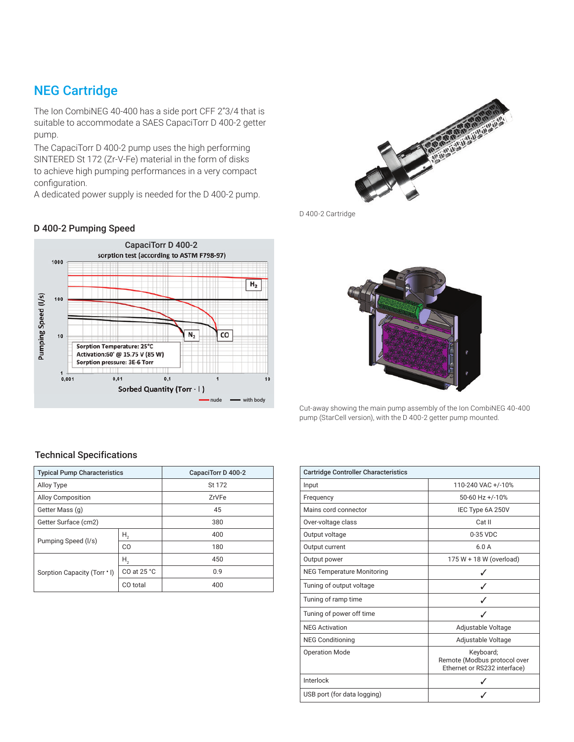### NEG Cartridge

The Ion CombiNEG 40-400 has a side port CFF 2"3/4 that is suitable to accommodate a SAES CapaciTorr D 400-2 getter pump.

The CapaciTorr D 400-2 pump uses the high performing SINTERED St 172 (Zr-V-Fe) material in the form of disks to achieve high pumping performances in a very compact configuration.

A dedicated power supply is needed for the D 400-2 pump.

#### D 400-2 Pumping Speed





D 400-2 Cartridge



Cut-away showing the main pump assembly of the Ion CombiNEG 40-400 pump (StarCell version), with the D 400-2 getter pump mounted.

| <b>Cartridge Controller Characteristics</b> |                                                                           |
|---------------------------------------------|---------------------------------------------------------------------------|
| Input                                       | 110-240 VAC +/-10%                                                        |
| Frequency                                   | 50-60 Hz +/-10%                                                           |
| Mains cord connector                        | IEC Type 6A 250V                                                          |
| Over-voltage class                          | Cat II                                                                    |
| Output voltage                              | 0-35 VDC                                                                  |
| Output current                              | 6.0A                                                                      |
| Output power                                | 175 W + 18 W (overload)                                                   |
| <b>NEG Temperature Monitoring</b>           |                                                                           |
| Tuning of output voltage                    |                                                                           |
| Tuning of ramp time                         |                                                                           |
| Tuning of power off time                    |                                                                           |
| <b>NEG Activation</b>                       | Adjustable Voltage                                                        |
| <b>NEG Conditioning</b>                     | Adjustable Voltage                                                        |
| <b>Operation Mode</b>                       | Keyboard;<br>Remote (Modbus protocol over<br>Ethernet or RS232 interface) |
| Interlock                                   |                                                                           |
| USB port (for data logging)                 |                                                                           |

#### Technical Specifications

| <b>Typical Pump Characteristics</b> |                 | CapaciTorr D 400-2 |  |
|-------------------------------------|-----------------|--------------------|--|
| Alloy Type                          |                 | St 172             |  |
| <b>Alloy Composition</b>            |                 | ZrVFe              |  |
| Getter Mass (q)                     |                 | 45                 |  |
| Getter Surface (cm2)                |                 | 380                |  |
| Pumping Speed (I/s)                 | Η,              | 400                |  |
|                                     | C <sub>O</sub>  | 180                |  |
| Sorption Capacity (Torr . I)        | Η,              | 450                |  |
|                                     | $CO$ at $25 °C$ | 0.9                |  |
|                                     | CO total        | 400                |  |